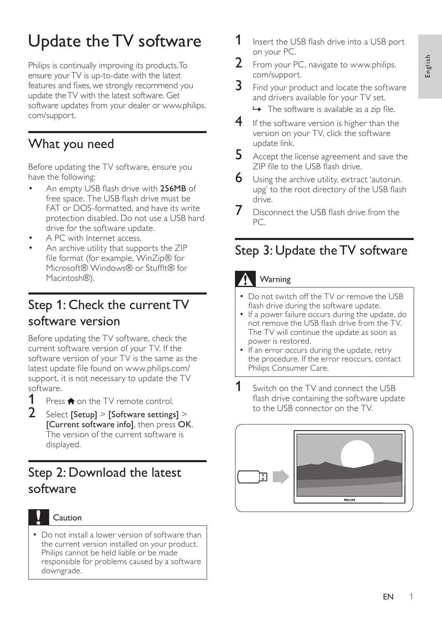# Update the TV software

Philips is continually improving its products.To ensure yourTV is up-to-date with the latest features and fixes, we strongly recommend you update theTV with the latest software. Get software updates from your dealer or www.philips. com/support.

#### What you need

Before updating the TV software, ensure you have the following:

- An empty USB flash drive with 256MB of free space. The USB flash drive must be FAT or DOS-formatted, and have its write protection disabled. Do not use a USB hard drive for the software update.
- A PC with Internet access.
- An archive utility that supports the ZIP file format (for example, WinZip® for Microsoft® Windows® or Stufflt® for Macintosh®).

#### Step 1: Check the current TV software version

Before updating the TV software, check the current software version of your TV. If the software version of your TV is the same as the latest update file found on www.philips.com/ support, it is not necessary to update the TV software.

- **1** Press  $\hat{\mathbf{\tau}}$  on the TV remote control.<br>**2** Select [Setup] > [Software settings]
- Select [Setup] > [Software settings] > [Current software info], then press OK. The version of the current software is displayed.

## Step 2: Download the latest software



#### • Do not install a lower version of software than the current version installed on your product. Philips cannot be held liable or be made responsible for problems caused by a software downgrade.

- **1** Insert the USB flash drive into a USB port on your PC.
- 2 From your PC, navigate to www.philips. com/support.
- $3$  Find your product and locate the software and drivers available for your TV set.

 $\rightarrow$  The software is available as a zip file.

- $4$  If the software version is higher than the version on your TV, click the software update link.
- 5 Accept the license agreement and save the ZIP file to the USB flash drive.
- $6$  Using the archive utility, extract 'autorun. upg' to the root directory of the USB flash drive.
- Disconnect the USB flash drive from the PC.

### Step 3: Update the TV software

#### **Warning**

- Do not switch off the TV or remove the USB flash drive during the software update.
- If a power failure occurs during the update, do not remove the USB flash drive from the TV. The TV will continue the update as soon as power is restored.
- If an error occurs during the update, retry the procedure. If the error reoccurs, contact Philips Consumer Care.
- **1** Switch on the TV and connect the USB flash drive containing the software update to the USB connector on the TV.